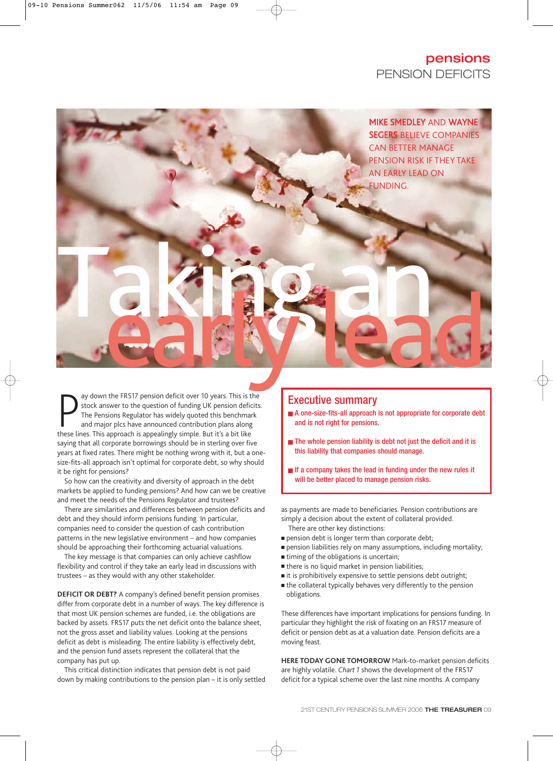## **pensions** PENSION DEFICITS

MIKE SMEDLEY AND WAYNE SEGERS BELIEVE COMPANIES CAN BETTER MANAGE PENSION RISK IF THEY TAKE AN EARLY LEAD ON FUNDING.

ay down the FRS17 pension deficit over 10 years. This is is stock answer to the question of funding UK pension defition The Pensions Regulator has widely quoted this benchma and major plcs have announced contribution plans ay down the FRS17 pension deficit over 10 years. This is the stock answer to the question of funding UK pension deficits. The Pensions Regulator has widely quoted this benchmark and major plcs have announced contribution plans along saying that all corporate borrowings should be in sterling over five years at fixed rates. There might be nothing wrong with it, but a onesize-fits-all approach isn't optimal for corporate debt, so why should it be right for pensions? Taking an

So how can the creativity and diversity of approach in the debt markets be applied to funding pensions? And how can we be creative and meet the needs of the Pensions Regulator and trustees?

There are similarities and differences between pension deficits and debt and they should inform pensions funding. In particular, companies need to consider the question of cash contribution patterns in the new legislative environment – and how companies should be approaching their forthcoming actuarial valuations.

The key message is that companies can only achieve cashflow flexibility and control if they take an early lead in discussions with trustees – as they would with any other stakeholder.

**DEFICIT OR DEBT?** A company's defined benefit pension promises differ from corporate debt in a number of ways. The key difference is that most UK pension schemes are funded, i.e. the obligations are backed by assets. FRS17 puts the net deficit onto the balance sheet, not the gross asset and liability values. Looking at the pensions deficit as debt is misleading. The entire liability is effectively debt, and the pension fund assets represent the collateral that the company has put up.

This critical distinction indicates that pension debt is not paid down by making contributions to the pension plan – it is only settled

## Executive summary

- A one-size-fits-all approach is not appropriate for corporate debt and is not right for pensions.
- The whole pension liability is debt not just the deficit and it is this liability that companies should manage.
- **■** If a company takes the lead in funding under the new rules it will be better placed to manage pension risks.

as payments are made to beneficiaries. Pension contributions are simply a decision about the extent of collateral provided.

- There are other key distinctions:
- **pension debt is longer term than corporate debt;**
- **■** pension liabilities rely on many assumptions, including mortality;
- timing of the obligations is uncertain;
- there is no liquid market in pension liabilities;
- it is prohibitively expensive to settle pensions debt outright;
- the collateral typically behaves very differently to the pension obligations.

These differences have important implications for pensions funding. In particular they highlight the risk of fixating on an FRS17 measure of deficit or pension debt as at a valuation date. Pension deficits are a moving feast.

**HERE TODAY GONE TOMORROW** Mark-to-market pension deficits are highly volatile. *Chart 1* shows the development of the FRS17 deficit for a typical scheme over the last nine months. A company